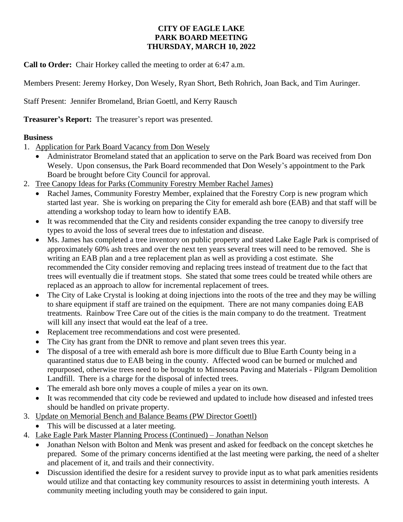## **CITY OF EAGLE LAKE PARK BOARD MEETING THURSDAY, MARCH 10, 2022**

**Call to Order:** Chair Horkey called the meeting to order at 6:47 a.m.

Members Present: Jeremy Horkey, Don Wesely, Ryan Short, Beth Rohrich, Joan Back, and Tim Auringer.

Staff Present: Jennifer Bromeland, Brian Goettl, and Kerry Rausch

**Treasurer's Report:** The treasurer's report was presented.

## **Business**

- 1. Application for Park Board Vacancy from Don Wesely
	- Administrator Bromeland stated that an application to serve on the Park Board was received from Don Wesely. Upon consensus, the Park Board recommended that Don Wesely's appointment to the Park Board be brought before City Council for approval.
- 2. Tree Canopy Ideas for Parks (Community Forestry Member Rachel James)
	- Rachel James, Community Forestry Member, explained that the Forestry Corp is new program which started last year. She is working on preparing the City for emerald ash bore (EAB) and that staff will be attending a workshop today to learn how to identify EAB.
	- It was recommended that the City and residents consider expanding the tree canopy to diversify tree types to avoid the loss of several trees due to infestation and disease.
	- Ms. James has completed a tree inventory on public property and stated Lake Eagle Park is comprised of approximately 60% ash trees and over the next ten years several trees will need to be removed. She is writing an EAB plan and a tree replacement plan as well as providing a cost estimate. She recommended the City consider removing and replacing trees instead of treatment due to the fact that trees will eventually die if treatment stops. She stated that some trees could be treated while others are replaced as an approach to allow for incremental replacement of trees.
	- The City of Lake Crystal is looking at doing injections into the roots of the tree and they may be willing to share equipment if staff are trained on the equipment. There are not many companies doing EAB treatments. Rainbow Tree Care out of the cities is the main company to do the treatment. Treatment will kill any insect that would eat the leaf of a tree.
	- Replacement tree recommendations and cost were presented.
	- The City has grant from the DNR to remove and plant seven trees this year.
	- The disposal of a tree with emerald ash bore is more difficult due to Blue Earth County being in a quarantined status due to EAB being in the county. Affected wood can be burned or mulched and repurposed, otherwise trees need to be brought to Minnesota Paving and Materials - Pilgram Demolition Landfill. There is a charge for the disposal of infected trees.
	- The emerald ash bore only moves a couple of miles a year on its own.
	- It was recommended that city code be reviewed and updated to include how diseased and infested trees should be handled on private property.
- 3. Update on Memorial Bench and Balance Beams (PW Director Goettl)
	- This will be discussed at a later meeting.
- 4. Lake Eagle Park Master Planning Process (Continued) Jonathan Nelson
	- Jonathan Nelson with Bolton and Menk was present and asked for feedback on the concept sketches he prepared. Some of the primary concerns identified at the last meeting were parking, the need of a shelter and placement of it, and trails and their connectivity.
	- Discussion identified the desire for a resident survey to provide input as to what park amenities residents would utilize and that contacting key community resources to assist in determining youth interests. A community meeting including youth may be considered to gain input.